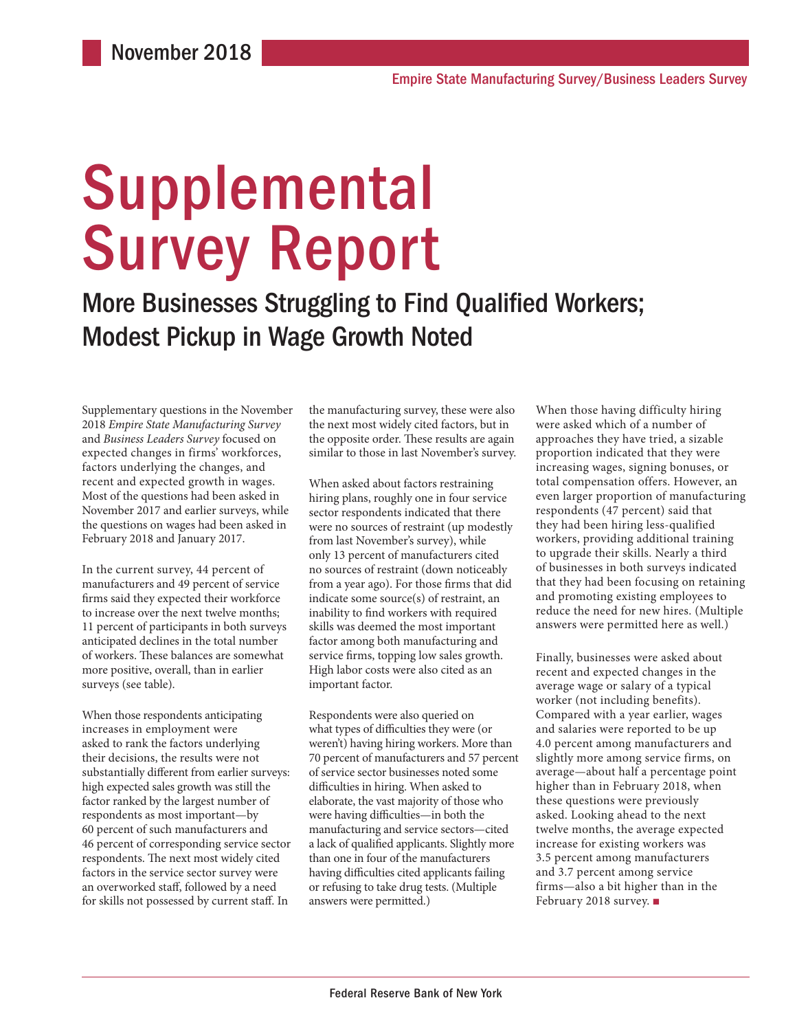# Supplemental Survey Report

More Businesses Struggling to Find Qualified Workers; Modest Pickup in Wage Growth Noted

Supplementary questions in the November 2018 *Empire State Manufacturing Survey* and *Business Leaders Survey* focused on expected changes in firms' workforces, factors underlying the changes, and recent and expected growth in wages. Most of the questions had been asked in November 2017 and earlier surveys, while the questions on wages had been asked in February 2018 and January 2017.

In the current survey, 44 percent of manufacturers and 49 percent of service firms said they expected their workforce to increase over the next twelve months; 11 percent of participants in both surveys anticipated declines in the total number of workers. These balances are somewhat more positive, overall, than in earlier surveys (see table).

When those respondents anticipating increases in employment were asked to rank the factors underlying their decisions, the results were not substantially different from earlier surveys: high expected sales growth was still the factor ranked by the largest number of respondents as most important—by 60 percent of such manufacturers and 46 percent of corresponding service sector respondents. The next most widely cited factors in the service sector survey were an overworked staff, followed by a need for skills not possessed by current staff. In

the manufacturing survey, these were also the next most widely cited factors, but in the opposite order. These results are again similar to those in last November's survey.

When asked about factors restraining hiring plans, roughly one in four service sector respondents indicated that there were no sources of restraint (up modestly from last November's survey), while only 13 percent of manufacturers cited no sources of restraint (down noticeably from a year ago). For those firms that did indicate some source(s) of restraint, an inability to find workers with required skills was deemed the most important factor among both manufacturing and service firms, topping low sales growth. High labor costs were also cited as an important factor.

Respondents were also queried on what types of difficulties they were (or weren't) having hiring workers. More than 70 percent of manufacturers and 57 percent of service sector businesses noted some difficulties in hiring. When asked to elaborate, the vast majority of those who were having difficulties—in both the manufacturing and service sectors—cited a lack of qualified applicants. Slightly more than one in four of the manufacturers having difficulties cited applicants failing or refusing to take drug tests. (Multiple answers were permitted.)

When those having difficulty hiring were asked which of a number of approaches they have tried, a sizable proportion indicated that they were increasing wages, signing bonuses, or total compensation offers. However, an even larger proportion of manufacturing respondents (47 percent) said that they had been hiring less-qualified workers, providing additional training to upgrade their skills. Nearly a third of businesses in both surveys indicated that they had been focusing on retaining and promoting existing employees to reduce the need for new hires. (Multiple answers were permitted here as well.)

Finally, businesses were asked about recent and expected changes in the average wage or salary of a typical worker (not including benefits). Compared with a year earlier, wages and salaries were reported to be up 4.0 percent among manufacturers and slightly more among service firms, on average—about half a percentage point higher than in February 2018, when these questions were previously asked. Looking ahead to the next twelve months, the average expected increase for existing workers was 3.5 percent among manufacturers and 3.7 percent among service firms—also a bit higher than in the February 2018 survey. ■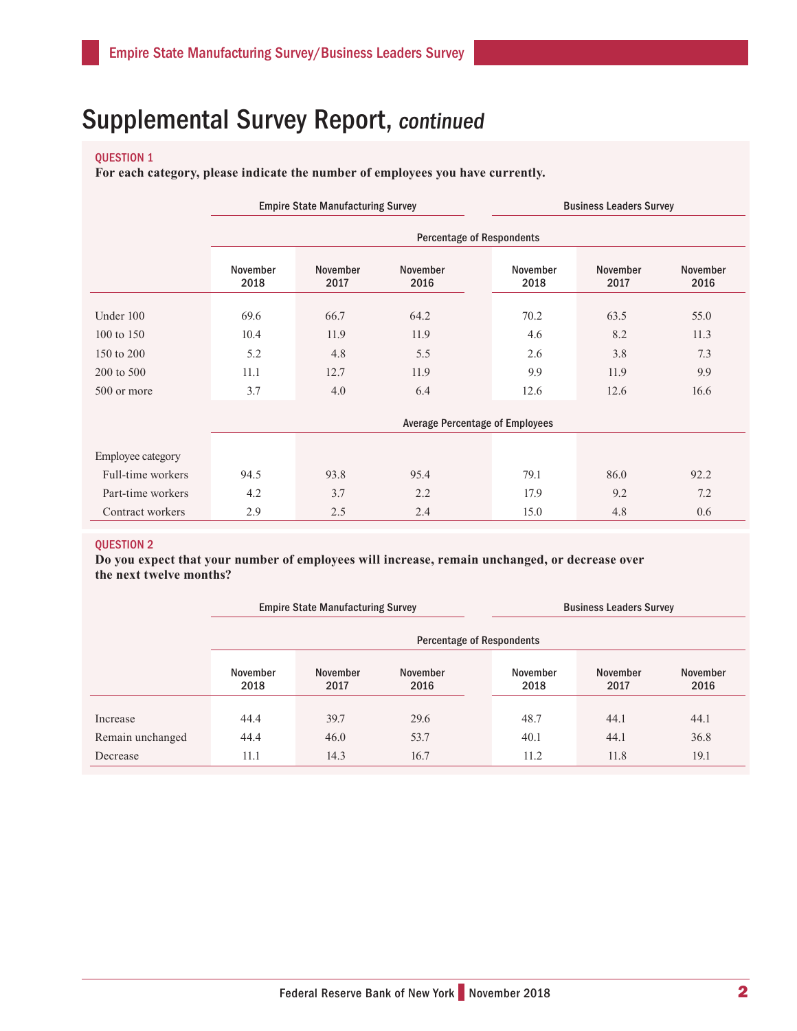### QUESTION 1

**For each category, please indicate the number of employees you have currently.**

|                   |                                  | <b>Empire State Manufacturing Survey</b> |                         |                  | <b>Business Leaders Survey</b> |                  |  |  |
|-------------------|----------------------------------|------------------------------------------|-------------------------|------------------|--------------------------------|------------------|--|--|
|                   | <b>Percentage of Respondents</b> |                                          |                         |                  |                                |                  |  |  |
|                   | November<br>2018                 | <b>November</b><br>2017                  | <b>November</b><br>2016 | November<br>2018 | <b>November</b><br>2017        | November<br>2016 |  |  |
| Under 100         | 69.6                             | 66.7                                     | 64.2                    | 70.2             | 63.5                           | 55.0             |  |  |
| 100 to 150        | 10.4                             | 11.9                                     | 11.9                    | 4.6              | 8.2                            | 11.3             |  |  |
| 150 to 200        | 5.2                              | 4.8                                      | 5.5                     | 2.6              | 3.8                            | 7.3              |  |  |
| 200 to 500        | 11.1                             | 12.7                                     | 11.9                    | 9.9              | 11.9                           | 9.9              |  |  |
| 500 or more       | 3.7                              | 4.0                                      | 6.4                     | 12.6             | 12.6                           | 16.6             |  |  |
|                   |                                  |                                          |                         |                  |                                |                  |  |  |
| Employee category |                                  |                                          |                         |                  |                                |                  |  |  |
| Full-time workers | 94.5                             | 93.8                                     | 95.4                    | 79.1             | 86.0                           | 92.2             |  |  |
| Part-time workers | 4.2                              | 3.7                                      | 2.2                     | 17.9             | 9.2                            | 7.2              |  |  |
| Contract workers  | 2.9                              | 2.5                                      | 2.4                     | 15.0             | 4.8                            | 0.6              |  |  |

### QUESTION 2

**Do you expect that your number of employees will increase, remain unchanged, or decrease over the next twelve months?**

|                  |                           | <b>Empire State Manufacturing Survey</b> |                  | <b>Business Leaders Survey</b> |                  |                         |  |  |
|------------------|---------------------------|------------------------------------------|------------------|--------------------------------|------------------|-------------------------|--|--|
|                  | Percentage of Respondents |                                          |                  |                                |                  |                         |  |  |
|                  | November<br>2018          | <b>November</b><br>2017                  | November<br>2016 | November<br>2018               | November<br>2017 | <b>November</b><br>2016 |  |  |
| Increase         | 44.4                      | 39.7                                     | 29.6             | 48.7                           | 44.1             | 44.1                    |  |  |
| Remain unchanged | 44.4                      | 46.0                                     | 53.7             | 40.1                           | 44.1             | 36.8                    |  |  |
| Decrease         | 11.1                      | 14.3                                     | 16.7             | 11.2                           | 11.8             | 19.1                    |  |  |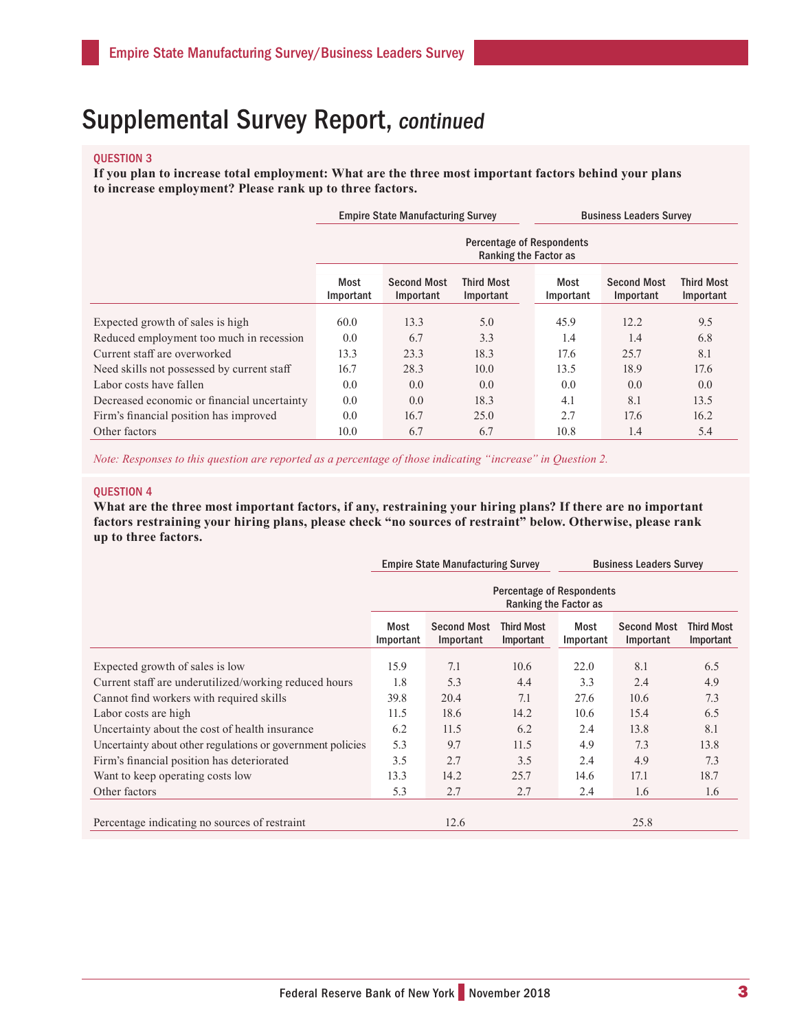### QUESTION 3

**If you plan to increase total employment: What are the three most important factors behind your plans to increase employment? Please rank up to three factors.**

|                                             |                                                           | <b>Empire State Manufacturing Survey</b> |                                | <b>Business Leaders Survey</b> |                                 |                                |  |  |
|---------------------------------------------|-----------------------------------------------------------|------------------------------------------|--------------------------------|--------------------------------|---------------------------------|--------------------------------|--|--|
|                                             | <b>Percentage of Respondents</b><br>Ranking the Factor as |                                          |                                |                                |                                 |                                |  |  |
|                                             | Most<br>Important                                         | <b>Second Most</b><br>Important          | <b>Third Most</b><br>Important | Most<br>Important              | <b>Second Most</b><br>Important | <b>Third Most</b><br>Important |  |  |
| Expected growth of sales is high            | 60.0                                                      | 13.3                                     | 5.0                            | 45.9                           | 12.2                            | 9.5                            |  |  |
| Reduced employment too much in recession    | 0.0                                                       | 6.7                                      | 3.3                            | 1.4                            | 1.4                             | 6.8                            |  |  |
| Current staff are overworked                | 13.3                                                      | 23.3                                     | 18.3                           | 17.6                           | 25.7                            | 8.1                            |  |  |
| Need skills not possessed by current staff  | 16.7                                                      | 28.3                                     | 10.0                           | 13.5                           | 18.9                            | 17.6                           |  |  |
| Labor costs have fallen                     | 0.0                                                       | 0.0                                      | 0.0                            | 0.0                            | 0.0                             | 0.0                            |  |  |
| Decreased economic or financial uncertainty | 0.0                                                       | 0.0                                      | 18.3                           | 4.1                            | 8.1                             | 13.5                           |  |  |
| Firm's financial position has improved      | 0.0                                                       | 16.7                                     | 25.0                           | 2.7                            | 17.6                            | 16.2                           |  |  |
| Other factors                               | 10.0                                                      | 6.7                                      | 6.7                            | 10.8                           | 1.4                             | 5.4                            |  |  |

*Note: Responses to this question are reported as a percentage of those indicating "increase" in Question 2.*

#### QUESTION 4

**What are the three most important factors, if any, restraining your hiring plans? If there are no important factors restraining your hiring plans, please check "no sources of restraint" below. Otherwise, please rank up to three factors.**

|                                                            |                                                                                                                                                | <b>Empire State Manufacturing Survey</b> |      | <b>Business Leaders Survey</b> |      |      |  |  |
|------------------------------------------------------------|------------------------------------------------------------------------------------------------------------------------------------------------|------------------------------------------|------|--------------------------------|------|------|--|--|
|                                                            | <b>Percentage of Respondents</b><br>Ranking the Factor as                                                                                      |                                          |      |                                |      |      |  |  |
|                                                            | Most<br><b>Second Most</b><br><b>Third Most</b><br><b>Second Most</b><br>Most<br>Important<br>Important<br>Important<br>Important<br>Important |                                          |      |                                |      |      |  |  |
| Expected growth of sales is low                            | 15.9                                                                                                                                           | 7.1                                      | 10.6 | 22.0                           | 8.1  | 6.5  |  |  |
| Current staff are underutilized/working reduced hours      | 1.8                                                                                                                                            | 5.3                                      | 4.4  | 3.3                            | 2.4  | 4.9  |  |  |
| Cannot find workers with required skills                   | 39.8                                                                                                                                           | 20.4                                     | 7.1  | 27.6                           | 10.6 | 7.3  |  |  |
| Labor costs are high                                       | 11.5                                                                                                                                           | 18.6                                     | 14.2 | 10.6                           | 15.4 | 6.5  |  |  |
| Uncertainty about the cost of health insurance             | 6.2                                                                                                                                            | 11.5                                     | 6.2  | 2.4                            | 13.8 | 8.1  |  |  |
| Uncertainty about other regulations or government policies | 5.3                                                                                                                                            | 9.7                                      | 11.5 | 4.9                            | 7.3  | 13.8 |  |  |
| Firm's financial position has deteriorated                 | 3.5                                                                                                                                            | 2.7                                      | 3.5  | 2.4                            | 4.9  | 7.3  |  |  |
| Want to keep operating costs low                           | 13.3                                                                                                                                           | 14.2                                     | 25.7 | 14.6                           | 17.1 | 18.7 |  |  |
| Other factors                                              | 5.3                                                                                                                                            | 2.7                                      | 2.7  | 2.4                            | 1.6  | 1.6  |  |  |
| Percentage indicating no sources of restraint              |                                                                                                                                                | 12.6                                     |      |                                | 25.8 |      |  |  |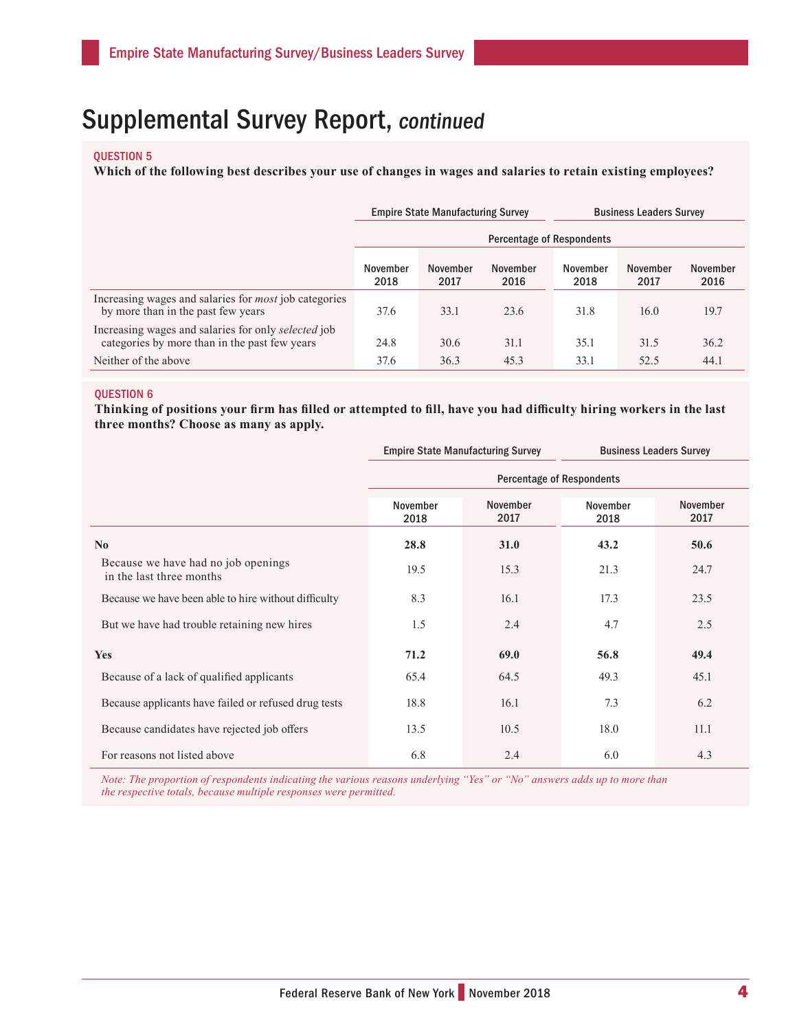#### QUESTION 5

**Which of the following best describes your use of changes in wages and salaries to retain existing employees?**

|                                                                                                      |                                  | <b>Empire State Manufacturing Survey</b> |                  | <b>Business Leaders Survey</b> |                  |                  |  |
|------------------------------------------------------------------------------------------------------|----------------------------------|------------------------------------------|------------------|--------------------------------|------------------|------------------|--|
|                                                                                                      | <b>Percentage of Respondents</b> |                                          |                  |                                |                  |                  |  |
|                                                                                                      | November<br>2018                 | November<br>2017                         | November<br>2016 | November<br>2018               | November<br>2017 | November<br>2016 |  |
| Increasing wages and salaries for <i>most</i> job categories<br>by more than in the past few years   | 37.6                             | 33.1                                     | 23.6             | 31.8                           | 16.0             | 19.7             |  |
| Increasing wages and salaries for only selected job<br>categories by more than in the past few years | 24.8                             | 30.6                                     | 31.1             | 35.1                           | 31.5             | 36.2             |  |
| Neither of the above                                                                                 | 37.6                             | 36.3                                     | 45.3             | 33.1                           | 52.5             | 44.1             |  |

#### QUESTION 6

**Thinking of positions your firm has filled or attempted to fill, have you had difficulty hiring workers in the last three months? Choose as many as apply.**

|                                                                 |                                  | <b>Empire State Manufacturing Survey</b> |                  | <b>Business Leaders Survey</b> |  |  |  |
|-----------------------------------------------------------------|----------------------------------|------------------------------------------|------------------|--------------------------------|--|--|--|
|                                                                 | <b>Percentage of Respondents</b> |                                          |                  |                                |  |  |  |
|                                                                 | November<br>2018                 | November<br>2017                         | November<br>2018 | November<br>2017               |  |  |  |
| $\mathbf{N}\mathbf{0}$                                          | 28.8                             | <b>31.0</b>                              | 43.2             | 50.6                           |  |  |  |
| Because we have had no job openings<br>in the last three months | 19.5                             | 15.3                                     | 21.3             | 24.7                           |  |  |  |
| Because we have been able to hire without difficulty            | 8.3                              | 16.1                                     | 17.3             | 23.5                           |  |  |  |
| But we have had trouble retaining new hires                     | 1.5                              | 2.4                                      | 4.7              | 2.5                            |  |  |  |
| Yes                                                             | 71.2                             | 69.0                                     | 56.8             | 49.4                           |  |  |  |
| Because of a lack of qualified applicants                       | 65.4                             | 64.5                                     | 49.3             | 45.1                           |  |  |  |
| Because applicants have failed or refused drug tests            | 18.8                             | 16.1                                     | 7.3              | 6.2                            |  |  |  |
| Because candidates have rejected job offers                     | 13.5                             | 10.5                                     | 18.0             | 11.1                           |  |  |  |
| For reasons not listed above                                    | 6.8                              | 2.4                                      | 6.0              | 4.3                            |  |  |  |

*Note: The proportion of respondents indicating the various reasons underlying "Yes" or "No" answers adds up to more than the respective totals, because multiple responses were permitted.*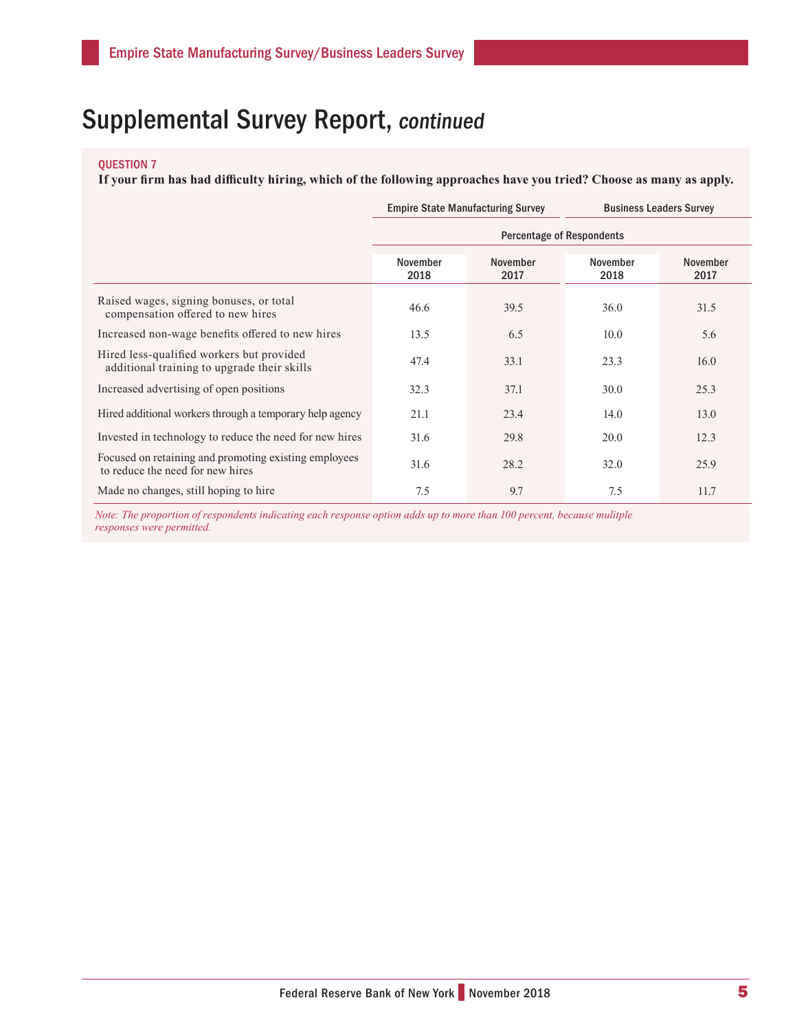### QUESTION 7

**If your firm has had difficulty hiring, which of the following approaches have you tried? Choose as many as apply.**

|                                                                                           |                                  | <b>Empire State Manufacturing Survey</b> | <b>Business Leaders Survey</b> |                  |  |  |  |
|-------------------------------------------------------------------------------------------|----------------------------------|------------------------------------------|--------------------------------|------------------|--|--|--|
|                                                                                           | <b>Percentage of Respondents</b> |                                          |                                |                  |  |  |  |
|                                                                                           | November<br>2018                 | November<br>2017                         | November<br>2018               | November<br>2017 |  |  |  |
| Raised wages, signing bonuses, or total<br>compensation offered to new hires              | 46.6                             | 39.5                                     | 36.0                           | 31.5             |  |  |  |
| Increased non-wage benefits offered to new hires                                          | 13.5                             | 6.5                                      | 10.0                           | 5.6              |  |  |  |
| Hired less-qualified workers but provided<br>additional training to upgrade their skills  | 47.4                             | 33.1                                     | 23.3                           | 16.0             |  |  |  |
| Increased advertising of open positions                                                   | 32.3                             | 37.1                                     | 30.0                           | 25.3             |  |  |  |
| Hired additional workers through a temporary help agency                                  | 21.1                             | 23.4                                     | 14.0                           | 13.0             |  |  |  |
| Invested in technology to reduce the need for new hires                                   | 31.6                             | 29.8                                     | 20.0                           | 12.3             |  |  |  |
| Focused on retaining and promoting existing employees<br>to reduce the need for new hires | 31.6                             | 28.2                                     | 32.0                           | 25.9             |  |  |  |
| Made no changes, still hoping to hire                                                     | 7.5                              | 9.7                                      | 7.5                            | 11.7             |  |  |  |

*Note: The proportion of respondents indicating each response option adds up to more than 100 percent, because mulitple responses were permitted.*